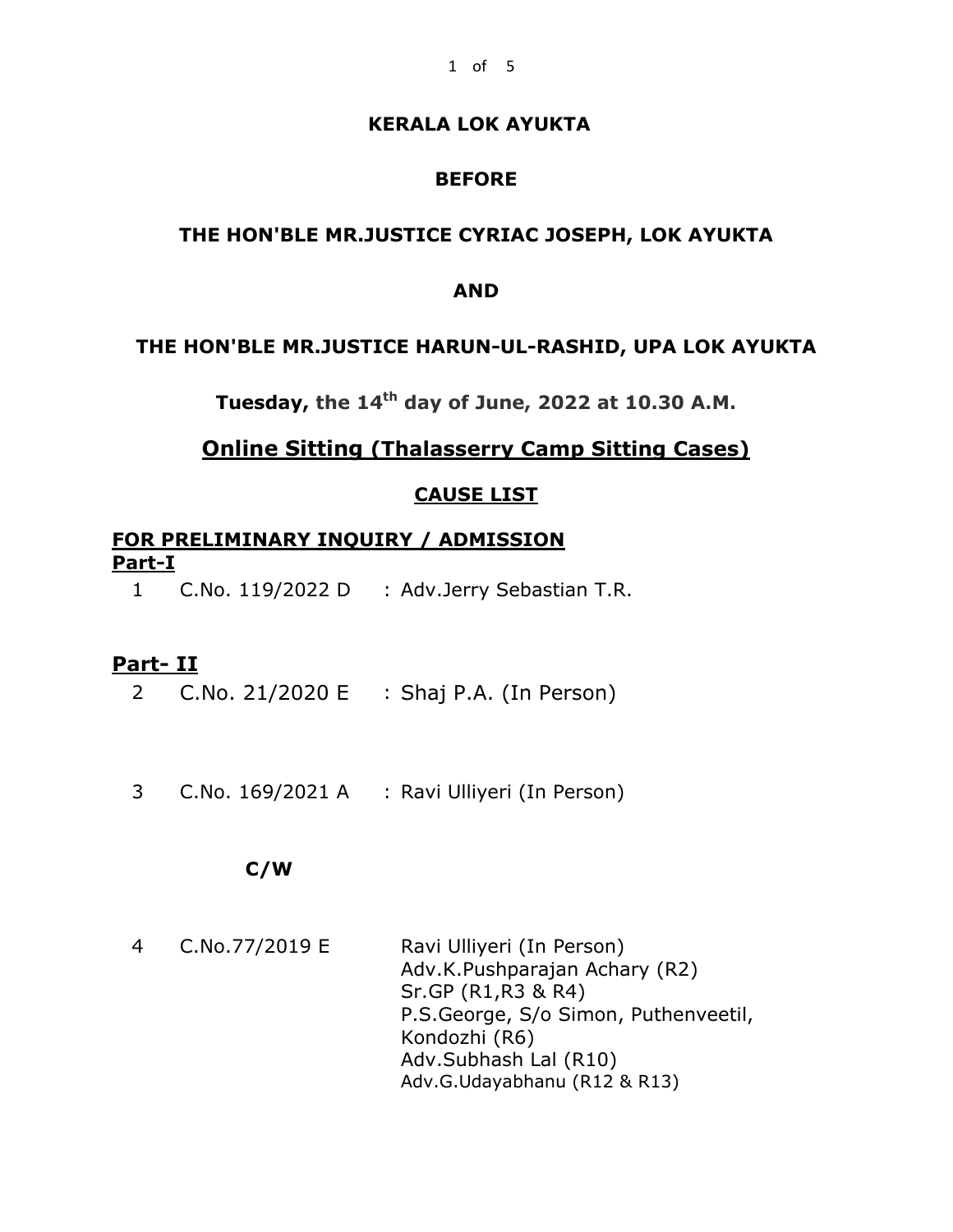### **KERALA LOK AYUKTA**

### **BEFORE**

### **THE HON'BLE MR.JUSTICE CYRIAC JOSEPH, LOK AYUKTA**

#### **AND**

#### **THE HON'BLE MR.JUSTICE HARUN-UL-RASHID, UPA LOK AYUKTA**

**Tuesday, the 14 th day of June, 2022 at 10.30 A.M.**

## **Online Sitting (Thalasserry Camp Sitting Cases)**

#### **CAUSE LIST**

### **FOR PRELIMINARY INQUIRY / ADMISSION Part-I**

1 C.No. 119/2022 D : Adv.Jerry Sebastian T.R.

#### **Part- II**

- 2 C.No. 21/2020 E : Shaj P.A. (In Person)
- 3 C.No. 169/2021 A : Ravi Ulliyeri (In Person)

#### **C/W**

 4 C.No.77/2019 E Ravi Ulliyeri (In Person) Adv.K.Pushparajan Achary (R2) Sr.GP (R1,R3 & R4) P.S.George, S/o Simon, Puthenveetil, Kondozhi (R6) Adv.Subhash Lal (R10) Adv.G.Udayabhanu (R12 & R13)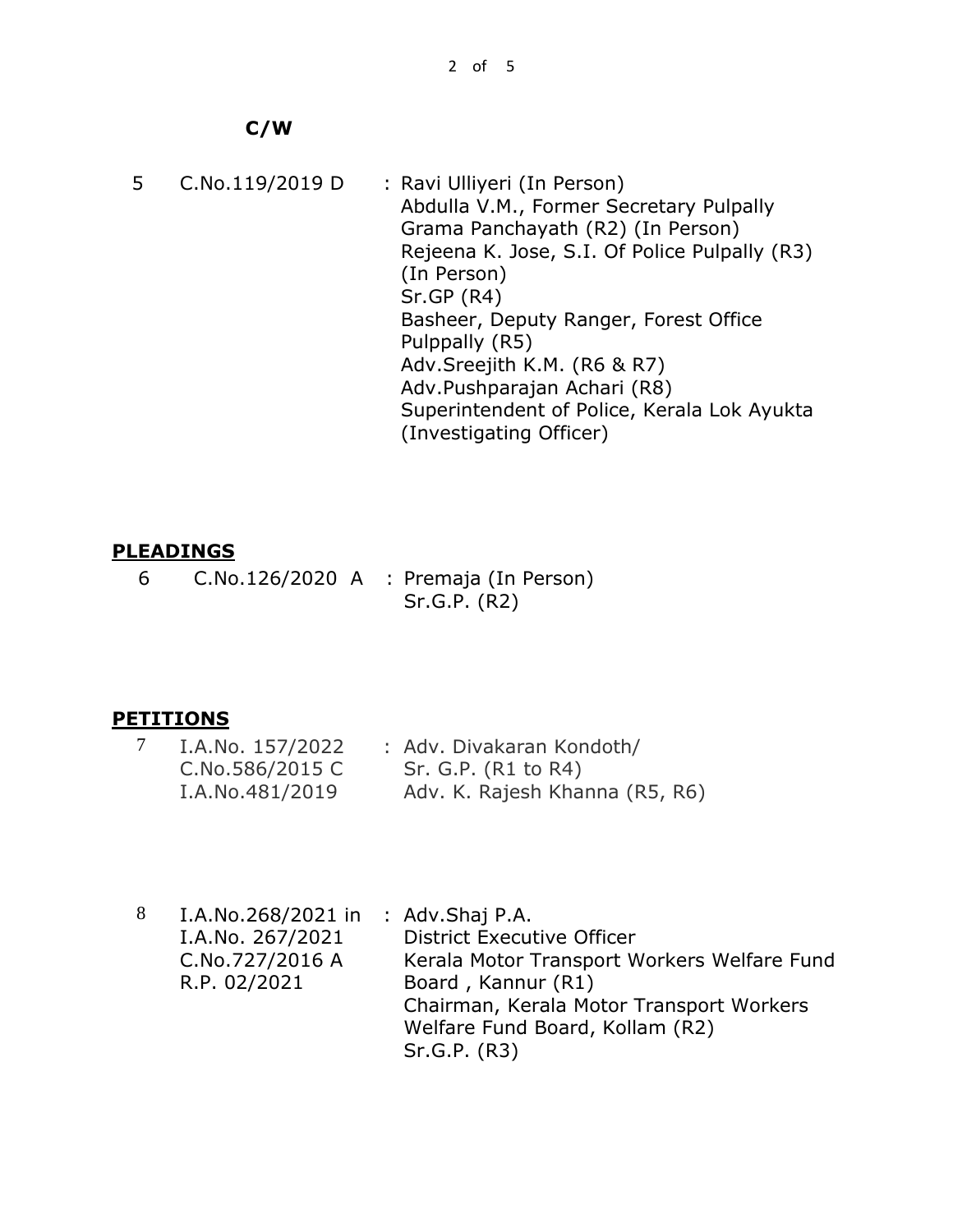# **C/W**

 5 C.No.119/2019 D : Ravi Ulliyeri (In Person) Abdulla V.M., Former Secretary Pulpally Grama Panchayath (R2) (In Person) Rejeena K. Jose, S.I. Of Police Pulpally (R3) (In Person) Sr.GP (R4) Basheer, Deputy Ranger, Forest Office Pulppally (R5) Adv.Sreejith K.M. (R6 & R7) Adv.Pushparajan Achari (R8) Superintendent of Police, Kerala Lok Ayukta (Investigating Officer)

# **PLEADINGS**

 6 C.No.126/2020 A : Premaja (In Person) Sr.G.P. (R2)

# **PETITIONS**

| I.A.No. 157/2022 | : Adv. Divakaran Kondoth/      |  |
|------------------|--------------------------------|--|
| C.No.586/2015 C  | Sr. G.P. (R1 to R4)            |  |
| I.A.No.481/2019  | Adv. K. Rajesh Khanna (R5, R6) |  |

8 I.A.No.268/2021 in : Adv.Shaj P.A. I.A.No. 267/2021 C.No.727/2016 A R.P. 02/2021 District Executive Officer Kerala Motor Transport Workers Welfare Fund Board , Kannur (R1) Chairman, Kerala Motor Transport Workers Welfare Fund Board, Kollam (R2) Sr.G.P. (R3)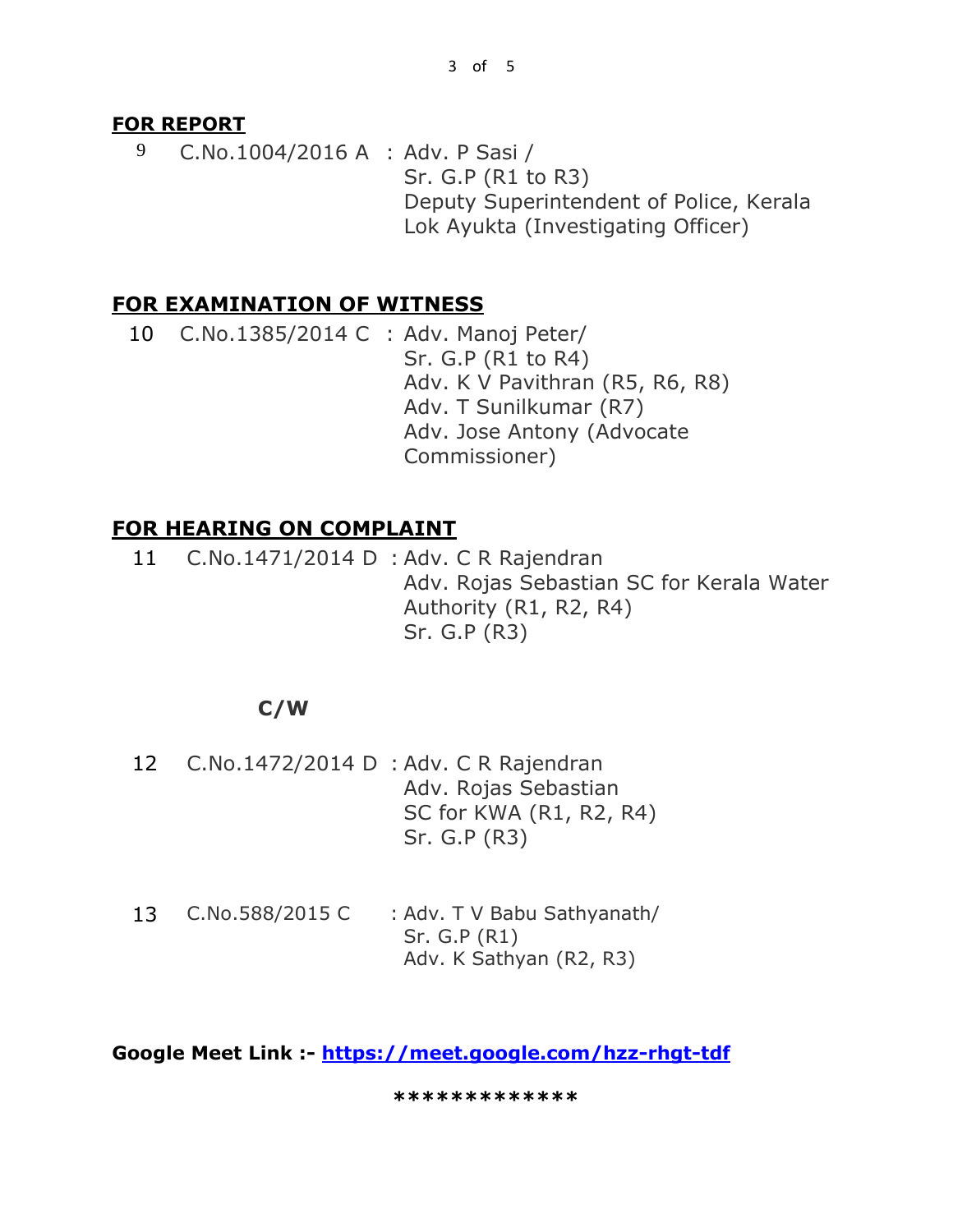### **FOR REPORT**

9 C.No.1004/2016 A : Adv. P Sasi / Sr. G.P (R1 to R3) Deputy Superintendent of Police, Kerala Lok Ayukta (Investigating Officer)

## **FOR EXAMINATION OF WITNESS**

10 C.No.1385/2014 C : Adv. Manoj Peter/ Sr. G.P (R1 to R4) Adv. K V Pavithran (R5, R6, R8) Adv. T Sunilkumar (R7) Adv. Jose Antony (Advocate Commissioner)

# **FOR HEARING ON COMPLAINT**

11 C.No.1471/2014 D : Adv. C R Rajendran Adv. Rojas Sebastian SC for Kerala Water Authority (R1, R2, R4) Sr. G.P (R3)

# **C/W**

- 12 C.No.1472/2014 D : Adv. C R Rajendran Adv. Rojas Sebastian SC for KWA (R1, R2, R4) Sr. G.P (R3)
- 13 C.No.588/2015 C : Adv. T V Babu Sathyanath/ Sr. G.P (R1) Adv. K Sathyan (R2, R3)

**Google Meet Link :- <https://meet.google.com/hzz-rhgt-tdf>**

**\*\*\*\*\*\*\*\*\*\*\*\*\***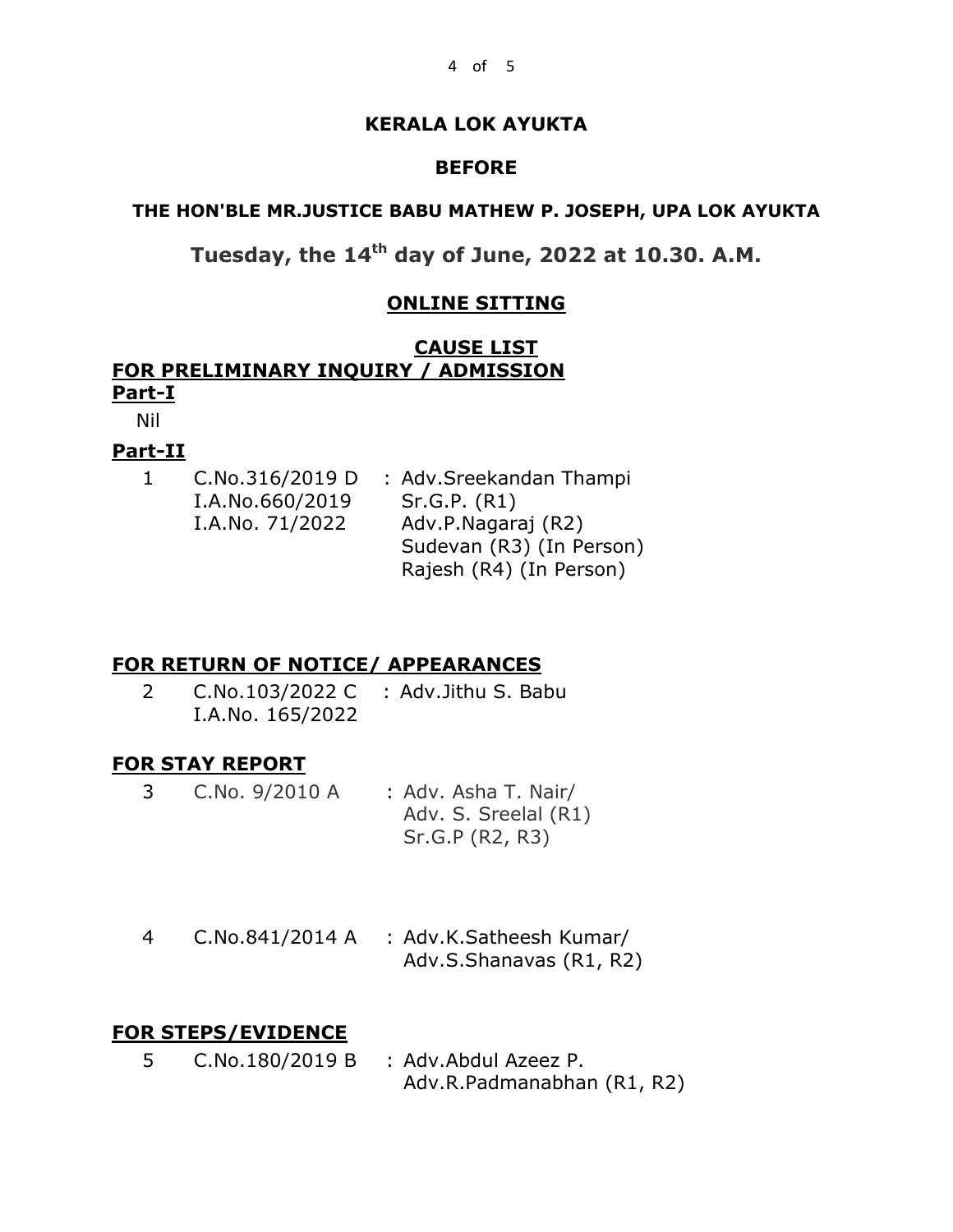### **KERALA LOK AYUKTA**

### **BEFORE**

### **THE HON'BLE MR.JUSTICE BABU MATHEW P. JOSEPH, UPA LOK AYUKTA**

# **Tuesday, the 14th day of June, 2022 at 10.30. A.M.**

### **ONLINE SITTING**

## **CAUSE LIST FOR PRELIMINARY INQUIRY / ADMISSION Part-I**

Nil

### **Part-II**

| 1. | C.No.316/2019 D | : Adv.Sreekandan Thampi  |
|----|-----------------|--------------------------|
|    | I.A.No.660/2019 | Sr.G.P. (R1)             |
|    | I.A.No. 71/2022 | Adv.P.Nagaraj (R2)       |
|    |                 | Sudevan (R3) (In Person) |
|    |                 | Rajesh (R4) (In Person)  |
|    |                 |                          |

# **FOR RETURN OF NOTICE/ APPEARANCES**

2 C.No.103/2022 C : Adv.Jithu S. Babu I.A.No. 165/2022

### **FOR STAY REPORT**

- 3 C.No. 9/2010 A : Adv. Asha T. Nair/ Adv. S. Sreelal (R1) Sr.G.P (R2, R3)
- 4 C.No.841/2014 A : Adv.K.Satheesh Kumar/ Adv.S.Shanavas (R1, R2)

# **FOR STEPS/EVIDENCE**

5 C.No.180/2019 B : Adv.Abdul Azeez P. Adv.R.Padmanabhan (R1, R2)